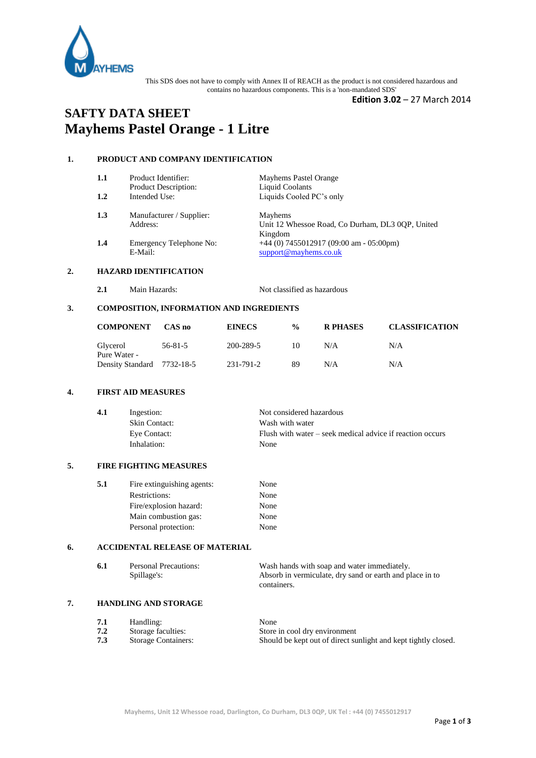

This SDS does not have to comply with Annex II of REACH as the product is not considered hazardous and contains no hazardous components. This is a 'non-mandated SDS'

**Edition 3.02** – 27 March 2014

# **SAFTY DATA SHEET Mayhems Pastel Orange - 1 Litre**

# **1. PRODUCT AND COMPANY IDENTIFICATION**

| 1.1 | Product Identifier:      | Mayhems Pastel Orange                            |
|-----|--------------------------|--------------------------------------------------|
|     | Product Description:     | Liquid Coolants                                  |
| 1.2 | Intended Use:            | Liquids Cooled PC's only                         |
| 1.3 | Manufacturer / Supplier: | Mayhems                                          |
|     | Address:                 | Unit 12 Whessoe Road, Co Durham, DL3 0OP, United |
|     |                          | Kingdom                                          |
| 1.4 | Emergency Telephone No:  | $+44$ (0) 7455012917 (09:00 am - 05:00pm)        |
|     |                          |                                                  |

E-Mail: [support@mayhems.co.uk](mailto:support@mayhems.co.uk)

# **2. HAZARD IDENTIFICATION**

**2.1** Main Hazards: Not classified as hazardous

### **3. COMPOSITION, INFORMATION AND INGREDIENTS**

| <b>COMPONENT</b>           | CAS no  | <b>EINECS</b> | $\frac{0}{0}$ | <b>R PHASES</b> | <b>CLASSIFICATION</b> |
|----------------------------|---------|---------------|---------------|-----------------|-----------------------|
| Glycerol<br>Pure Water -   | 56-81-5 | 200-289-5     | 10            | N/A             | N/A                   |
| Density Standard 7732-18-5 |         | 231-791-2     | 89            | N/A             | N/A                   |

#### **4. FIRST AID MEASURES**

| Ingestion:           | Not considered hazardous                                  |
|----------------------|-----------------------------------------------------------|
| <b>Skin Contact:</b> | Wash with water                                           |
| Eye Contact:         | Flush with water – seek medical advice if reaction occurs |
| Inhalation:          | None                                                      |
|                      |                                                           |

## **5. FIRE FIGHTING MEASURES**

| None |
|------|
| None |
| None |
| None |
|      |

# **6. ACCIDENTAL RELEASE OF MATERIAL**

| 6.1 | <b>Personal Precautions:</b> | Wash hands with soap and water immediately.              |
|-----|------------------------------|----------------------------------------------------------|
|     | Spillage's:                  | Absorb in vermiculate, dry sand or earth and place in to |
|     |                              | containers.                                              |

## **7. HANDLING AND STORAGE**

| 7.1 | Handling:                  | None                                                           |
|-----|----------------------------|----------------------------------------------------------------|
| 7.2 | Storage faculties:         | Store in cool dry environment                                  |
| 7.3 | <b>Storage Containers:</b> | Should be kept out of direct sunlight and kept tightly closed. |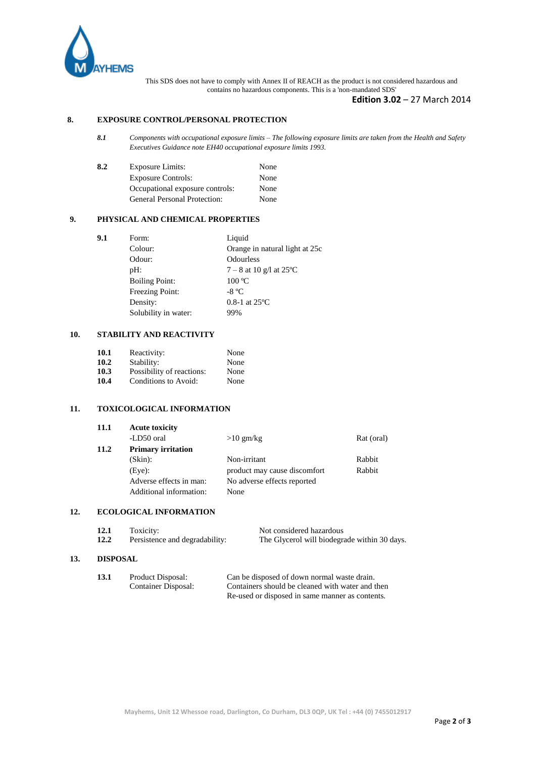

This SDS does not have to comply with Annex II of REACH as the product is not considered hazardous and contains no hazardous components. This is a 'non-mandated SDS'

## **Edition 3.02** – 27 March 2014

#### **8. EXPOSURE CONTROL/PERSONAL PROTECTION**

*8.1 Components with occupational exposure limits – The following exposure limits are taken from the Health and Safety Executives Guidance note EH40 occupational exposure limits 1993.*

| 8.2 | <b>Exposure Limits:</b>         | None |
|-----|---------------------------------|------|
|     | <b>Exposure Controls:</b>       | None |
|     | Occupational exposure controls: | None |
|     | General Personal Protection:    | None |

#### **9. PHYSICAL AND CHEMICAL PROPERTIES**

| 9.1 | Form:                 | Liquid                         |
|-----|-----------------------|--------------------------------|
|     | Colour:               | Orange in natural light at 25c |
|     | Odour:                | Odourless                      |
|     | $pH$ :                | $7 - 8$ at 10 g/l at 25 °C     |
|     | <b>Boiling Point:</b> | 100 °C                         |
|     | Freezing Point:       | $-8 °C$                        |
|     | Density:              | $0.8-1$ at $25^{\circ}$ C      |
|     | Solubility in water:  | 99%                            |
|     |                       |                                |

# **10. STABILITY AND REACTIVITY**

| 10.1 | Reactivity:               | None |
|------|---------------------------|------|
| 10.2 | Stability:                | None |
| 10.3 | Possibility of reactions: | None |
| 10.4 | Conditions to Avoid:      | None |

## **11. TOXICOLOGICAL INFORMATION**

| 11.1 | <b>Acute toxicity</b>     |                              |            |
|------|---------------------------|------------------------------|------------|
|      | -LD50 oral                | $>10$ gm/kg                  | Rat (oral) |
| 11.2 | <b>Primary irritation</b> |                              |            |
|      | $(Skin)$ :                | Non-irritant                 | Rabbit     |
|      | $(Eye)$ :                 | product may cause discomfort | Rabbit     |
|      | Adverse effects in man:   | No adverse effects reported  |            |
|      | Additional information:   | None                         |            |

#### **12. ECOLOGICAL INFORMATION**

| 12.1 | Toxicity:                      | Not considered hazardous                     |
|------|--------------------------------|----------------------------------------------|
| 12.2 | Persistence and degradability: | The Glycerol will biodegrade within 30 days. |

#### **13. DISPOSAL**

| 13.1 | Product Disposal:   | Can be disposed of down normal waste drain.      |
|------|---------------------|--------------------------------------------------|
|      | Container Disposal: | Containers should be cleaned with water and then |
|      |                     | Re-used or disposed in same manner as contents.  |